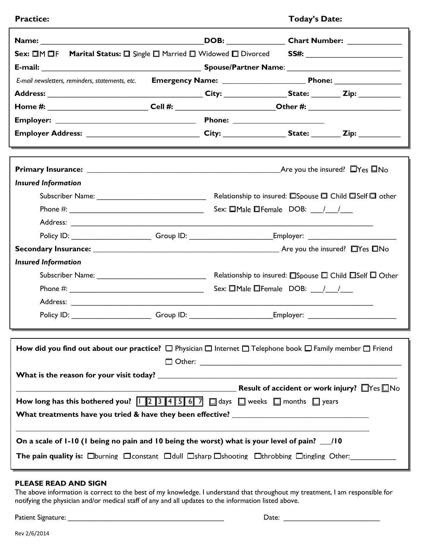|  | <b>Practice:</b> |
|--|------------------|
|  |                  |

## **Practice: Today's Date:**

Ъ

|                                                                                                                                                                                                                                                         | DOB: Chart Number:                                     |  |                                                              |  |
|---------------------------------------------------------------------------------------------------------------------------------------------------------------------------------------------------------------------------------------------------------|--------------------------------------------------------|--|--------------------------------------------------------------|--|
| Marital Status: □ Single □ Married □ Widowed □ Divorced SS#: ___________________<br>Sex: □M □F                                                                                                                                                          |                                                        |  |                                                              |  |
|                                                                                                                                                                                                                                                         |                                                        |  |                                                              |  |
| E-mail newsletters, reminders, statements, etc.                                                                                                                                                                                                         |                                                        |  |                                                              |  |
|                                                                                                                                                                                                                                                         |                                                        |  |                                                              |  |
| Home #: ___________________________Cell #: __________________________Other #: ______________________                                                                                                                                                    |                                                        |  |                                                              |  |
|                                                                                                                                                                                                                                                         |                                                        |  |                                                              |  |
| Employer Address: ________________________________City: _________________State: _________Zip: ____________                                                                                                                                              |                                                        |  |                                                              |  |
|                                                                                                                                                                                                                                                         |                                                        |  |                                                              |  |
|                                                                                                                                                                                                                                                         |                                                        |  |                                                              |  |
| <b>Insured Information</b>                                                                                                                                                                                                                              |                                                        |  |                                                              |  |
|                                                                                                                                                                                                                                                         |                                                        |  | Relationship to insured: ESpouse E Child ESelf E other       |  |
|                                                                                                                                                                                                                                                         | Sex: $\Box$ Male $\Box$ Female DOB: / /                |  |                                                              |  |
|                                                                                                                                                                                                                                                         |                                                        |  |                                                              |  |
|                                                                                                                                                                                                                                                         |                                                        |  |                                                              |  |
|                                                                                                                                                                                                                                                         |                                                        |  |                                                              |  |
| <b>Insured Information</b>                                                                                                                                                                                                                              |                                                        |  |                                                              |  |
|                                                                                                                                                                                                                                                         |                                                        |  | Relationship to insured: <b>Spouse D Child DSelf D Other</b> |  |
|                                                                                                                                                                                                                                                         | Sex: $\square$ Male $\square$ Female DOB: $\angle$ / / |  |                                                              |  |
|                                                                                                                                                                                                                                                         |                                                        |  |                                                              |  |
| Policy ID: ______________________Group ID: _________________________Employer: _____________________                                                                                                                                                     |                                                        |  |                                                              |  |
|                                                                                                                                                                                                                                                         |                                                        |  |                                                              |  |
|                                                                                                                                                                                                                                                         |                                                        |  | <b>Result of accident or work injury?</b> ■Yes ■No           |  |
| How long has this bothered you? $\boxed{1}$ 2 3 4 5 6 7 $\boxed{1}$ days $\boxed{1}$ weeks $\boxed{1}$ months $\boxed{1}$ years                                                                                                                         |                                                        |  |                                                              |  |
| On a scale of 1-10 (1 being no pain and 10 being the worst) what is your level of pain? 10<br>The pain quality is: $\square$ burning $\square$ constant $\square$ dull $\square$ sharp $\square$ shooting $\square$ throbbing $\square$ tingling Other: |                                                        |  |                                                              |  |

## **PLEASE READ AND SIGN**

The above information is correct to the best of my knowledge. I understand that throughout my treatment, I am responsible for notifying the physician and/or medical staff of any and all updates to the information listed above.

Patient Signature: \_\_\_\_\_\_\_\_\_\_\_\_\_\_\_\_\_\_\_\_\_\_\_\_\_\_\_\_\_\_\_\_\_\_\_\_\_\_\_ Date: \_\_\_\_\_\_\_\_\_\_\_\_\_\_\_\_\_\_\_\_\_\_\_\_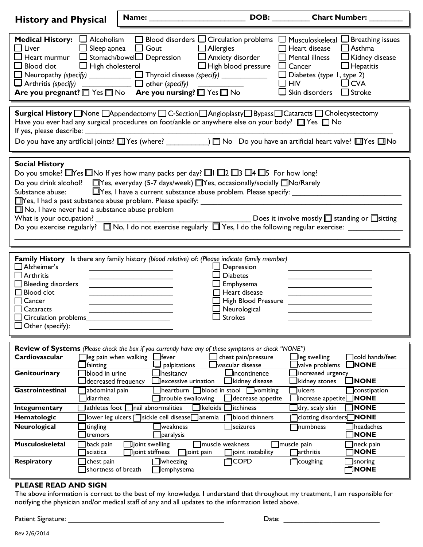|                                                                                                                                                                                                                                                                                                                                                                                      | <b>History and Physical</b>                       | Name:                                              |                                                              |                                                                                                                                                                                                                                                                                                                                                                                                                     | DOB:<br><b>Chart Number:</b>                                                                                                                               |                                                                          |
|--------------------------------------------------------------------------------------------------------------------------------------------------------------------------------------------------------------------------------------------------------------------------------------------------------------------------------------------------------------------------------------|---------------------------------------------------|----------------------------------------------------|--------------------------------------------------------------|---------------------------------------------------------------------------------------------------------------------------------------------------------------------------------------------------------------------------------------------------------------------------------------------------------------------------------------------------------------------------------------------------------------------|------------------------------------------------------------------------------------------------------------------------------------------------------------|--------------------------------------------------------------------------|
| <b>Medical History:</b> $\Box$ Alcoholism<br>$\square$ Liver<br>$\Box$ Heart murmur $\Box$ Stomach/bowel $\Box$ Depression $\Box$ Anxiety disorder<br>$\Box$ Blood clot<br>$\Box$ Neuropathy (specify) ___________<br>$\Box$ Arthritis (specify) ________________ $\Box$ other (specify)<br>Are you pregnant? $\square$ Yes $\square$ No Are you nursing? $\square$ Yes $\square$ No | Sleep apnea<br>$\Box$ High cholesterol            | Gout                                               |                                                              | Blood disorders $\Box$ Circulation problems $\Box$ Musculoskeletal $\Box$ Breathing issues<br>$\Box$ Allergies<br>$\Box$ High blood pressure<br>Thyroid disease (specify) ____________                                                                                                                                                                                                                              | $\Box$ Heart disease<br>$\Box$ Mental illness<br>$\Box$ Cancer<br>$\Box$ Diabetes (type 1, type 2)<br>$\square$ HIV<br>$\Box$ Skin disorders $\Box$ Stroke | $\Box$ Asthma<br>$\Box$ Kidney disease<br>$\Box$ Hepatitis<br>$\Box$ CVA |
|                                                                                                                                                                                                                                                                                                                                                                                      |                                                   |                                                    |                                                              | Surgical History Mone Mappendectomy DC-Section Mangioplasty Bypass DCataracts DCholecystectomy<br>Have you ever had any surgical procedures on foot/ankle or anywhere else on your body? $\Box$ Yes $\Box$ No                                                                                                                                                                                                       |                                                                                                                                                            |                                                                          |
| <b>Social History</b><br>Do you drink alcohol?<br>Substance abuse:<br>□ Yes, I had a past substance abuse problem. Please specify:<br>$\Box$ No, I have never had a substance abuse problem<br>What is your occupation?                                                                                                                                                              |                                                   |                                                    |                                                              | Do you smoke? $\Box$ Yes $\Box$ No If yes how many packs per day? $\Box$ $\Box$ 2 $\Box$ 3 $\Box$ 4 $\Box$ 5 For how long?<br>$\Box$ Yes, everyday (5-7 days/week) $\Box$ Yes, occasionally/socially $\Box$ No/Rarely<br>$\Box$ Yes, I have a current substance abuse problem. Please specify: $\Box$<br><u> 1980 - Andrea Barbara, poeta espainiar político e a contrar a contrar a contrar a contrar a contra</u> | Does it involve mostly $\Box$ standing or $\Box$ sitting                                                                                                   |                                                                          |
| $\square$ Alzheimer's<br>$\Box$ Arthritis<br>$\Box$ Bleeding disorders<br>$\Box$ Blood clot<br>$\Box$ Cancer<br>$\Box$ Cataracts                                                                                                                                                                                                                                                     |                                                   | <u> 1980 - John Stein, Amerikaansk politiker (</u> |                                                              | Family History Is there any family history (blood relative) of: (Please indicate family member)<br>Depression<br><b>Diabetes</b><br>Emphysema<br>Heart disease<br>High Blood Pressure<br>Neurological                                                                                                                                                                                                               |                                                                                                                                                            |                                                                          |
| $\Box$ Circulation problems<br>Other (specify):                                                                                                                                                                                                                                                                                                                                      |                                                   |                                                    |                                                              | Strokes                                                                                                                                                                                                                                                                                                                                                                                                             |                                                                                                                                                            |                                                                          |
|                                                                                                                                                                                                                                                                                                                                                                                      |                                                   |                                                    |                                                              |                                                                                                                                                                                                                                                                                                                                                                                                                     |                                                                                                                                                            |                                                                          |
| Cardiovascular                                                                                                                                                                                                                                                                                                                                                                       | leg pain when walking                             |                                                    | $\Box$ fever                                                 | Review of Systems (Please check the box if you currently have any of these symptoms or check "NONE")<br>chest pain/pressure<br>lvascular disease                                                                                                                                                                                                                                                                    | $\Box$ leg swelling                                                                                                                                        | $\Box$ cold hands/feet<br><b>NONE</b>                                    |
| Genitourinary                                                                                                                                                                                                                                                                                                                                                                        | fainting<br>blood in urine<br>decreased frequency |                                                    | palpitations<br>hesitancy<br>$\mathbb I$ excessive urination | $\mathsf{\underline{J}}$ incontinence<br>kidney disease                                                                                                                                                                                                                                                                                                                                                             | valve problems<br>increased urgency<br>kidney stones                                                                                                       | <b>NONE</b>                                                              |
| Gastrointestinal                                                                                                                                                                                                                                                                                                                                                                     | abdominal pain<br>diarrhea                        |                                                    | $heartburn$ $\Box$ blood in stool<br>trouble swallowing      | $\Box$ vomiting<br>decrease appetite                                                                                                                                                                                                                                                                                                                                                                                | <b>Julcers</b><br>$\sf J$ increase appetite $\sf I$                                                                                                        | constipation<br><b>NONE</b>                                              |
| Integumentary                                                                                                                                                                                                                                                                                                                                                                        | athletes foot                                     | Inail abnormalities                                |                                                              | <b>keloids</b><br>litchiness                                                                                                                                                                                                                                                                                                                                                                                        | dry, scaly skin                                                                                                                                            | <b>NONE</b>                                                              |
| Hematologic                                                                                                                                                                                                                                                                                                                                                                          | lower leg ulcers $\bar{\mathsf{\Gamma}}$          |                                                    | sickle cell disease[                                         | blood thinners<br>]anemia                                                                                                                                                                                                                                                                                                                                                                                           | clotting disorders                                                                                                                                         | <b>NONE</b>                                                              |
| Neurological                                                                                                                                                                                                                                                                                                                                                                         | tingling<br>tremors                               |                                                    | $J$ weakness<br>$\Box$ paralysis                             | seizures                                                                                                                                                                                                                                                                                                                                                                                                            | <b>Inumbness</b>                                                                                                                                           | headaches<br><b>NONE</b>                                                 |
| <b>Musculoskeletal</b>                                                                                                                                                                                                                                                                                                                                                               | back pain<br>sciatica                             | Jioint swelling<br><b>I</b> joint stiffness        | ioint pain                                                   | muscle weakness<br>Jjoint instability                                                                                                                                                                                                                                                                                                                                                                               | muscle pain<br>arthritis                                                                                                                                   | neck pain<br><b>NONE</b>                                                 |

## **PLEASE READ AND SIGN**

The above information is correct to the best of my knowledge. I understand that throughout my treatment, I am responsible for notifying the physician and/or medical staff of any and all updates to the information listed above.

Patient Signature: \_\_\_\_\_\_\_\_\_\_\_\_\_\_\_\_\_\_\_\_\_\_\_\_\_\_\_\_\_\_\_\_\_\_\_\_\_\_\_ Date: \_\_\_\_\_\_\_\_\_\_\_\_\_\_\_\_\_\_\_\_\_\_\_\_